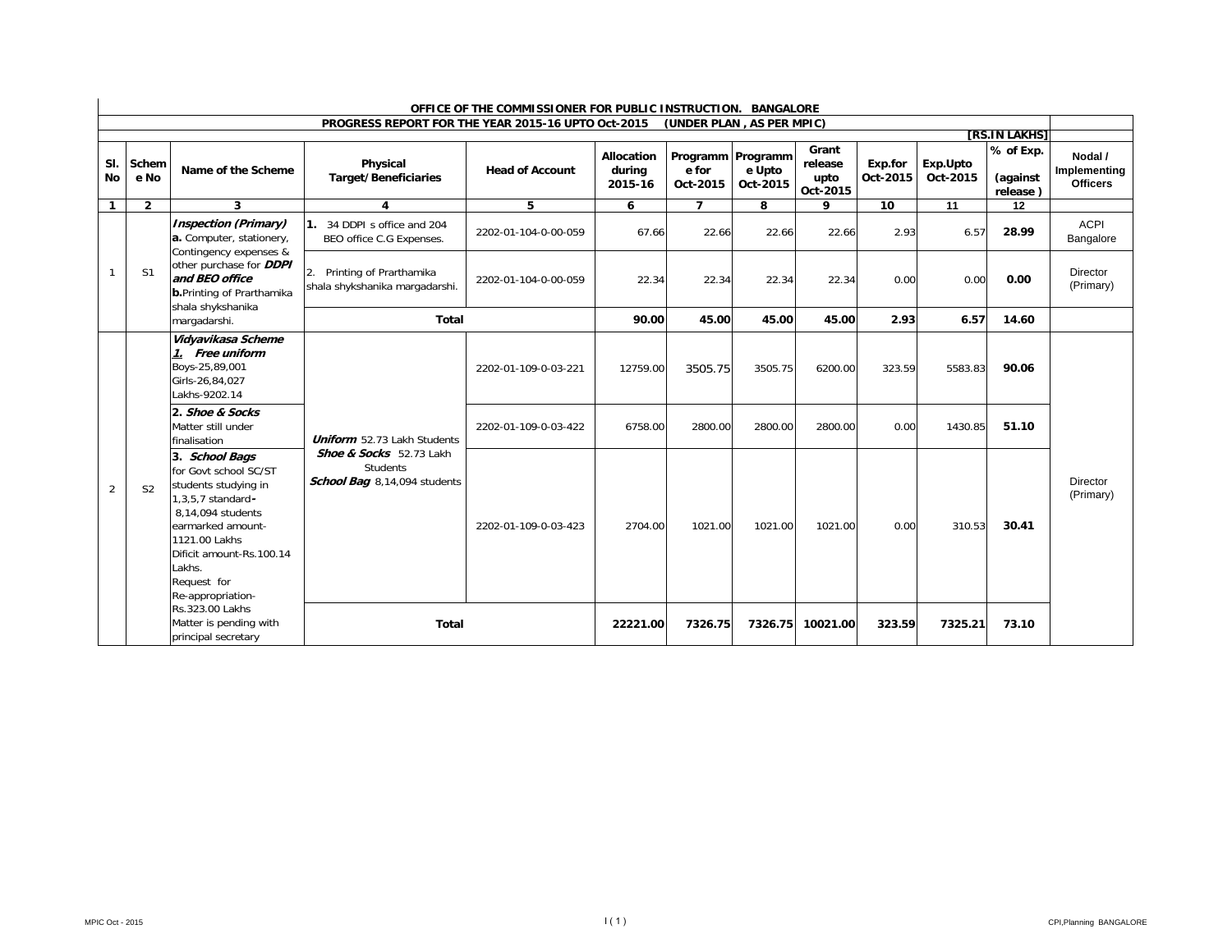|                  | OFFICE OF THE COMMISSIONER FOR PUBLIC INSTRUCTION. BANGALORE |                                                                                                                                                                                                                           |                                                                     |                        |                                 |                           |                                         |                                      |                     |                      |                                   |                                            |
|------------------|--------------------------------------------------------------|---------------------------------------------------------------------------------------------------------------------------------------------------------------------------------------------------------------------------|---------------------------------------------------------------------|------------------------|---------------------------------|---------------------------|-----------------------------------------|--------------------------------------|---------------------|----------------------|-----------------------------------|--------------------------------------------|
|                  |                                                              |                                                                                                                                                                                                                           | PROGRESS REPORT FOR THE YEAR 2015-16 UPTO Oct-2015                  |                        |                                 | (UNDER PLAN, AS PER MPIC) |                                         |                                      |                     |                      |                                   |                                            |
|                  |                                                              |                                                                                                                                                                                                                           |                                                                     |                        |                                 |                           |                                         |                                      |                     |                      | [RS.IN LAKHS]                     |                                            |
| SI.<br><b>No</b> | Schem<br>e No                                                | Name of the Scheme                                                                                                                                                                                                        | Physical<br><b>Target/Beneficiaries</b>                             | <b>Head of Account</b> | Allocation<br>during<br>2015-16 | e for<br>Oct-2015         | Programm Programm<br>e Upto<br>Oct-2015 | Grant<br>release<br>upto<br>Oct-2015 | Exp.for<br>Oct-2015 | Exp.Upto<br>Oct-2015 | % of Exp.<br>(against<br>release) | Nodal /<br>Implementing<br><b>Officers</b> |
| $\mathbf{1}$     | $\overline{2}$                                               | 3                                                                                                                                                                                                                         | 4                                                                   | 5                      | 6                               | $\overline{ }$            | 8                                       | Q                                    | 10                  | 11                   | 12                                |                                            |
|                  |                                                              | <b>Inspection (Primary)</b><br>a. Computer, stationery,<br>Contingency expenses &                                                                                                                                         | 1. 34 DDPI s office and 204<br>BEO office C.G Expenses.             | 2202-01-104-0-00-059   | 67.66                           | 22.66                     | 22.66                                   | 22.66                                | 2.93                | 6.57                 | 28.99                             | <b>ACPI</b><br>Bangalore                   |
| $\overline{1}$   | S <sub>1</sub>                                               | other purchase for <b>DDPI</b><br>and BEO office<br><b>b.</b> Printing of Prarthamika<br>shala shykshanika                                                                                                                | Printing of Prarthamika<br>2.<br>shala shykshanika margadarshi.     | 2202-01-104-0-00-059   | 22.34                           | 22.34                     | 22.34                                   | 22.34                                | 0.00                | 0.00                 | 0.00                              | Director<br>(Primary)                      |
|                  |                                                              | margadarshi.                                                                                                                                                                                                              | <b>Total</b>                                                        |                        | 90.00                           | 45.00                     | 45.00                                   | 45.00                                | 2.93                | 6.57                 | 14.60                             |                                            |
|                  |                                                              | Vidyavikasa Scheme<br>1. Free uniform<br>Boys-25,89,001<br>Girls-26,84,027<br>Lakhs-9202.14                                                                                                                               |                                                                     | 2202-01-109-0-03-221   | 12759.00                        | 3505.75                   | 3505.75                                 | 6200.00                              | 323.59              | 5583.83              | 90.06                             |                                            |
|                  |                                                              | 2. Shoe & Socks<br>Matter still under<br>finalisation                                                                                                                                                                     | <b>Uniform</b> 52.73 Lakh Students                                  | 2202-01-109-0-03-422   | 6758.00                         | 2800.00                   | 2800.00                                 | 2800.00                              | 0.00                | 1430.85              | 51.10                             |                                            |
| 2                | S <sub>2</sub>                                               | 3. School Bags<br>for Govt school SC/ST<br>students studying in<br>1,3,5,7 standard-<br>8.14.094 students<br>earmarked amount-<br>1121.00 Lakhs<br>Dificit amount-Rs.100.14<br>Lakhs.<br>Request for<br>Re-appropriation- | Shoe & Socks 52.73 Lakh<br>Students<br>School Bag 8,14,094 students | 2202-01-109-0-03-423   | 2704.00                         | 1021.00                   | 1021.00                                 | 1021.00                              | 0.00                | 310.53               | 30.41                             | Director<br>(Primary)                      |
|                  |                                                              | Rs.323.00 Lakhs<br>Matter is pending with<br>principal secretary                                                                                                                                                          | <b>Total</b>                                                        |                        | 22221.00                        | 7326.75                   | 7326.75                                 | 10021.00                             | 323.59              | 7325.21              | 73.10                             |                                            |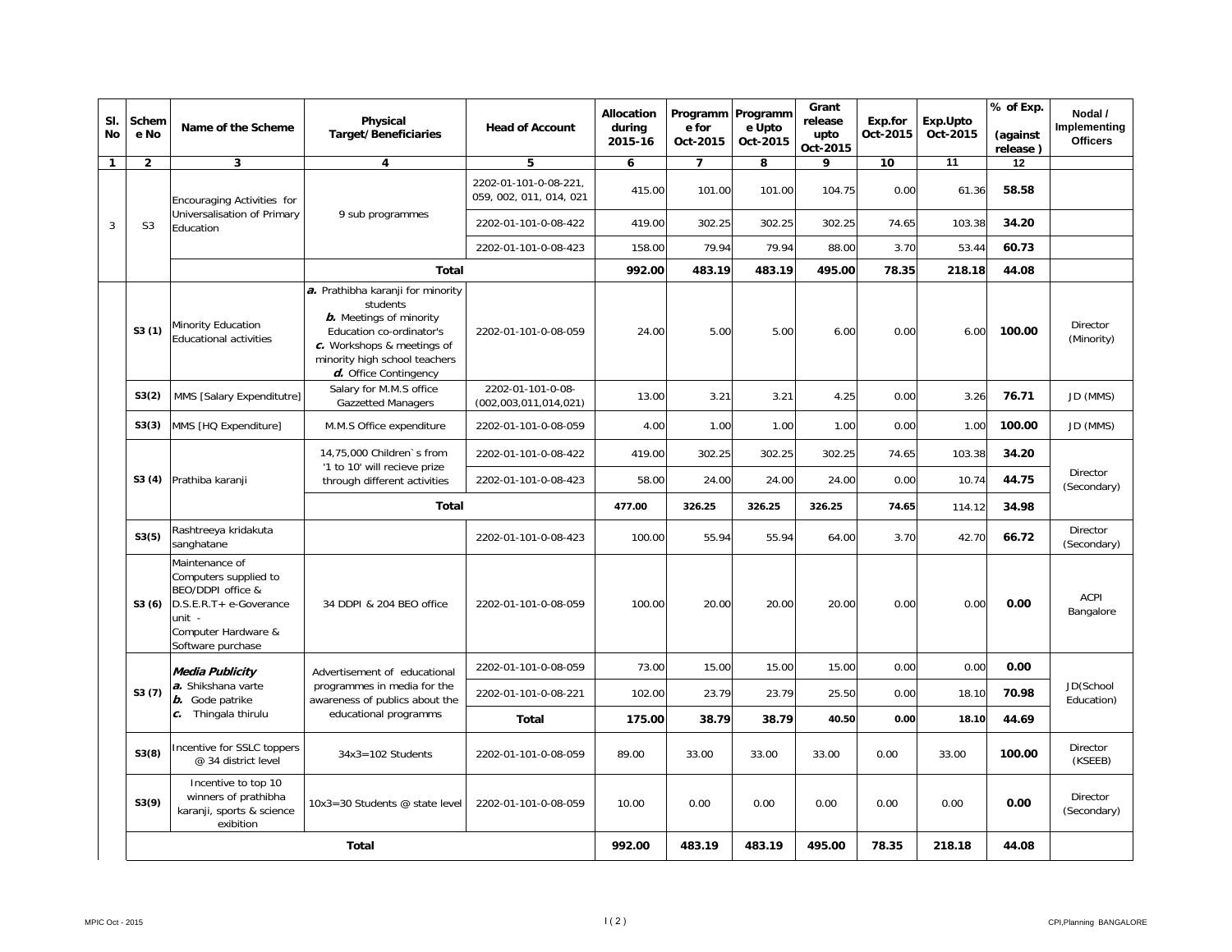| SI.<br><b>No</b> | Schem<br>e No  | Name of the Scheme                                                                                                                           | Physical<br><b>Target/Beneficiaries</b>                                                                                                                                                             | <b>Head of Account</b>                           | <b>Allocation</b><br>during<br>2015-16 | Programm Programm<br>e for<br>Oct-2015 | e Upto<br>Oct-2015 | Grant<br>release<br>upto<br>Oct-2015 | Exp.for<br>Oct-2015 | Exp.Upto<br>Oct-2015 | % of Exp.<br>(against<br>release) | Nodal /<br>Implementing<br><b>Officers</b> |
|------------------|----------------|----------------------------------------------------------------------------------------------------------------------------------------------|-----------------------------------------------------------------------------------------------------------------------------------------------------------------------------------------------------|--------------------------------------------------|----------------------------------------|----------------------------------------|--------------------|--------------------------------------|---------------------|----------------------|-----------------------------------|--------------------------------------------|
| $\mathbf{1}$     | $\overline{2}$ | 3                                                                                                                                            | 4                                                                                                                                                                                                   | 5                                                | 6                                      | $\overline{7}$                         | 8                  | 9                                    | 10                  | 11                   | 12                                |                                            |
|                  |                | Encouraging Activities for                                                                                                                   |                                                                                                                                                                                                     | 2202-01-101-0-08-221.<br>059, 002, 011, 014, 021 | 415.00                                 | 101.00                                 | 101.00             | 104.75                               | 0.00                | 61.36                | 58.58                             |                                            |
| 3                | S <sub>3</sub> | Universalisation of Primary<br>Education                                                                                                     | 9 sub programmes                                                                                                                                                                                    | 2202-01-101-0-08-422                             | 419.00                                 | 302.25                                 | 302.25             | 302.25                               | 74.65               | 103.38               | 34.20                             |                                            |
|                  |                |                                                                                                                                              |                                                                                                                                                                                                     | 2202-01-101-0-08-423                             | 158.00                                 | 79.94                                  | 79.94              | 88.00                                | 3.70                | 53.44                | 60.73                             |                                            |
|                  |                |                                                                                                                                              | <b>Total</b>                                                                                                                                                                                        |                                                  | 992.00                                 | 483.19                                 | 483.19             | 495.00                               | 78.35               | 218.18               | 44.08                             |                                            |
|                  | S3(1)          | Minority Education<br>Educational activities                                                                                                 | a. Prathibha karanji for minority<br>students<br><b>b.</b> Meetings of minority<br>Education co-ordinator's<br>c. Workshops & meetings of<br>minority high school teachers<br>d. Office Contingency | 2202-01-101-0-08-059                             | 24.00                                  | 5.00                                   | 5.00               | 6.00                                 | 0.00                | 6.00                 | 100.00                            | Director<br>(Minority)                     |
|                  | S3(2)          | MMS [Salary Expenditutre]                                                                                                                    | Salary for M.M.S office<br><b>Gazzetted Managers</b>                                                                                                                                                | 2202-01-101-0-08-<br>(002, 003, 011, 014, 021)   | 13.00                                  | 3.21                                   | 3.21               | 4.25                                 | 0.00                | 3.26                 | 76.71                             | JD (MMS)                                   |
|                  | S3(3)          | MMS [HQ Expenditure]                                                                                                                         | M.M.S Office expenditure                                                                                                                                                                            | 2202-01-101-0-08-059                             | 4.00                                   | 1.00                                   | 1.00               | 1.00                                 | 0.00                | 1.00                 | 100.00                            | JD (MMS)                                   |
|                  | S3(4)          |                                                                                                                                              | 14,75,000 Children's from<br>'1 to 10' will recieve prize                                                                                                                                           | 2202-01-101-0-08-422                             | 419.00                                 | 302.25                                 | 302.25             | 302.25                               | 74.65               | 103.38               | 34.20                             |                                            |
|                  |                | Prathiba karanji                                                                                                                             | through different activities                                                                                                                                                                        | 2202-01-101-0-08-423                             | 58.00                                  | 24.00                                  | 24.00              | 24.00                                | 0.00                | 10.74                | 44.75                             | <b>Director</b><br>(Secondary)             |
|                  |                |                                                                                                                                              | Total                                                                                                                                                                                               |                                                  | 477.00                                 | 326.25                                 | 326.25             | 326.25                               | 74.65               | 114.12               | 34.98                             |                                            |
|                  | S3(5)          | Rashtreeya kridakuta<br>sanghatane                                                                                                           |                                                                                                                                                                                                     | 2202-01-101-0-08-423                             | 100.00                                 | 55.94                                  | 55.94              | 64.00                                | 3.70                | 42.70                | 66.72                             | Director<br>(Secondary)                    |
|                  | S3(6)          | Maintenance of<br>Computers supplied to<br>BEO/DDPI office &<br>D.S.E.R.T+ e-Goverance<br>unit -<br>Computer Hardware &<br>Software purchase | 34 DDPI & 204 BEO office                                                                                                                                                                            | 2202-01-101-0-08-059                             | 100.00                                 | 20.00                                  | 20.00              | 20.00                                | 0.00                | 0.00                 | 0.00                              | <b>ACPI</b><br>Bangalore                   |
|                  |                | Media Publicity                                                                                                                              | Advertisement of educational                                                                                                                                                                        | 2202-01-101-0-08-059                             | 73.00                                  | 15.00                                  | 15.00              | 15.00                                | 0.00                | 0.00                 | 0.00                              |                                            |
|                  | S3(7)          | a. Shikshana varte<br>b. Gode patrike                                                                                                        | programmes in media for the<br>awareness of publics about the                                                                                                                                       | 2202-01-101-0-08-221                             | 102.00                                 | 23.79                                  | 23.79              | 25.50                                | 0.00                | 18.10                | 70.98                             | JD(School<br>Education)                    |
|                  |                | c. Thingala thirulu                                                                                                                          | educational programms                                                                                                                                                                               | Total                                            | 175.00                                 | 38.79                                  | 38.79              | 40.50                                | 0.00                | 18.10                | 44.69                             |                                            |
|                  | S3(8)          | Incentive for SSLC toppers<br>@ 34 district level                                                                                            | $34x3 = 102$ Students                                                                                                                                                                               | 2202-01-101-0-08-059                             | 89.00                                  | 33.00                                  | 33.00              | 33.00                                | 0.00                | 33.00                | 100.00                            | Director<br>(KSEEB)                        |
|                  | S3(9)          | Incentive to top 10<br>winners of prathibha<br>karanji, sports & science<br>exibition                                                        | 10x3=30 Students @ state level                                                                                                                                                                      | 2202-01-101-0-08-059                             | 10.00                                  | 0.00                                   | 0.00               | 0.00                                 | 0.00                | 0.00                 | 0.00                              | Director<br>(Secondary)                    |
|                  |                |                                                                                                                                              | <b>Total</b>                                                                                                                                                                                        |                                                  | 992.00                                 | 483.19                                 | 483.19             | 495.00                               | 78.35               | 218.18               | 44.08                             |                                            |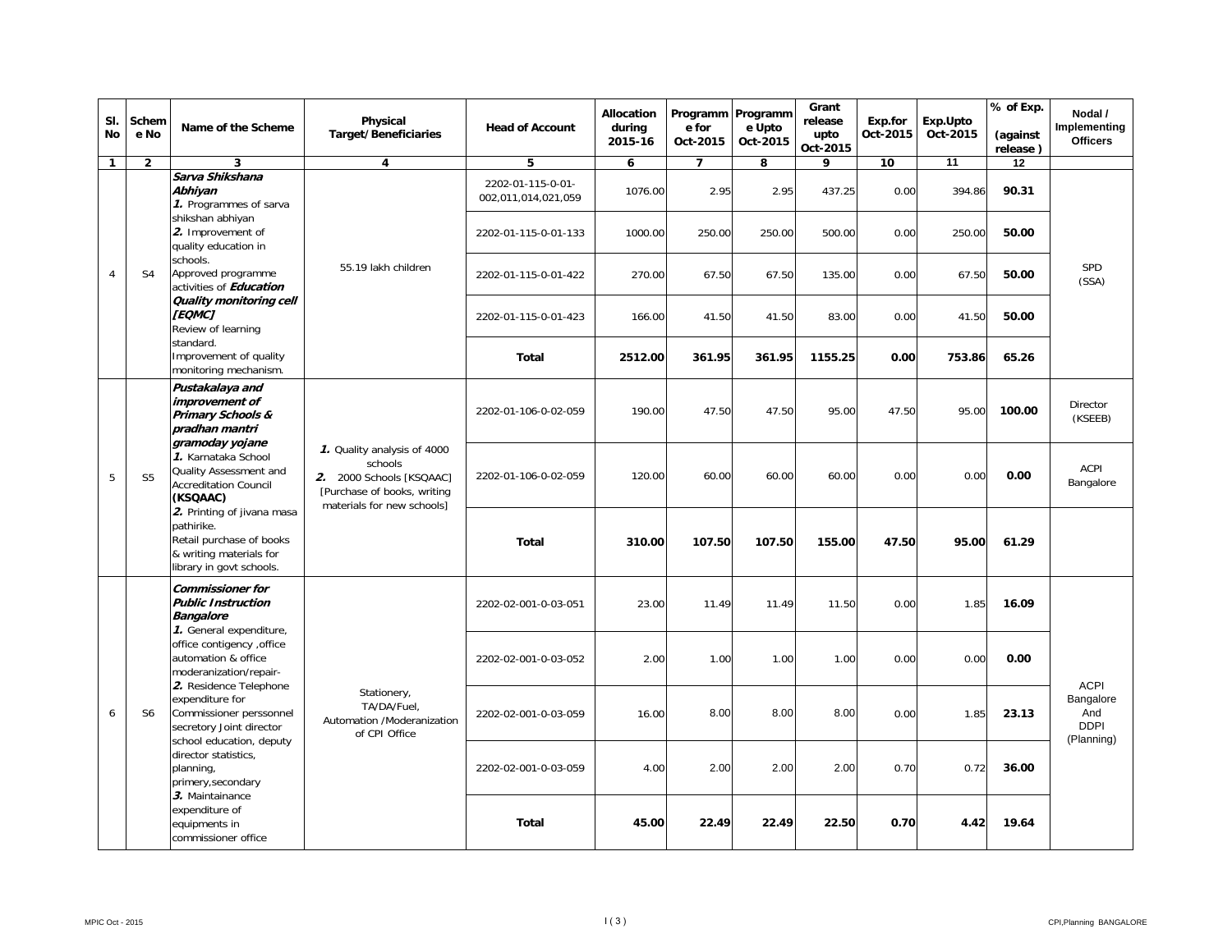| SI.<br>No           | Schem<br>e No  | Name of the Scheme                                                                                                                                               | Physical<br><b>Target/Beneficiaries</b>                                                                                         | <b>Head of Account</b>                   | Allocation<br>during<br>2015-16 | Programm Programm<br>e for<br>Oct-2015 | e Upto<br>Oct-2015                                                                                                                                                                                                                                                                                                                                           | Grant<br>release<br>upto<br>Oct-2015 | Exp.for<br>Oct-2015 | Exp.Upto<br>Oct-2015 | % of Exp.<br>(against<br>release) | Nodal /<br>Implementing<br><b>Officers</b>    |
|---------------------|----------------|------------------------------------------------------------------------------------------------------------------------------------------------------------------|---------------------------------------------------------------------------------------------------------------------------------|------------------------------------------|---------------------------------|----------------------------------------|--------------------------------------------------------------------------------------------------------------------------------------------------------------------------------------------------------------------------------------------------------------------------------------------------------------------------------------------------------------|--------------------------------------|---------------------|----------------------|-----------------------------------|-----------------------------------------------|
| $\mathbf{1}$        | $\overline{2}$ | 3                                                                                                                                                                | $\overline{\mathbf{4}}$                                                                                                         | 5                                        | 6                               | $\overline{7}$                         |                                                                                                                                                                                                                                                                                                                                                              |                                      |                     |                      |                                   |                                               |
|                     |                | Sarva Shikshana<br>Abhivan<br>1. Programmes of sarva                                                                                                             |                                                                                                                                 | 2202-01-115-0-01-<br>002,011,014,021,059 | 1076.00                         | 2.95                                   | 2.95                                                                                                                                                                                                                                                                                                                                                         | 437.25                               | 0.00                | 394.86               | 90.31                             |                                               |
|                     |                | shikshan abhiyan<br>2. Improvement of<br>quality education in                                                                                                    |                                                                                                                                 | 2202-01-115-0-01-133                     | 1000.00                         | 250.00                                 | 250.00                                                                                                                                                                                                                                                                                                                                                       | 500.00                               | 0.00                | 250.00               | 50.00                             |                                               |
| $\overline{4}$      | S <sub>4</sub> | schools.<br>Approved programme<br>activities of Education                                                                                                        | 55.19 lakh children                                                                                                             | 2202-01-115-0-01-422                     | 270.00                          | 67.50                                  | 67.50                                                                                                                                                                                                                                                                                                                                                        | 135.00                               | 0.00                | 67.50                | 50.00                             | SPD<br>(SSA)                                  |
|                     |                | Quality monitoring cell<br>[EQMC]<br>Review of learning                                                                                                          |                                                                                                                                 | 2202-01-115-0-01-423                     | 166.00                          | 41.50                                  | 41.50                                                                                                                                                                                                                                                                                                                                                        |                                      | 0.00                | 41.50                | 50.00                             |                                               |
|                     |                | standard.<br>Improvement of quality<br>monitoring mechanism.                                                                                                     |                                                                                                                                 | Total                                    | 2512.00                         | 361.95                                 |                                                                                                                                                                                                                                                                                                                                                              | 1155.25                              |                     | 753.86               | 65.26                             |                                               |
|                     |                | Pustakalaya and<br>improvement of<br><b>Primary Schools &amp;</b><br>pradhan mantri<br>gramoday yojane                                                           |                                                                                                                                 | 2202-01-106-0-02-059                     | 190.00                          | 47.50                                  | 47.50                                                                                                                                                                                                                                                                                                                                                        | 95.00                                | 47.50               | 95.00                | 100.00                            | Director<br>(KSEEB)                           |
| 5                   | S <sub>5</sub> | 1. Karnataka School<br>Quality Assessment and<br><b>Accreditation Council</b><br>(KSQAAC)                                                                        | 1. Quality analysis of 4000<br>schools<br>2. 2000 Schools [KSQAAC]<br>[Purchase of books, writing<br>materials for new schools] | 2202-01-106-0-02-059                     | 120.00                          | 60.00                                  | 11<br>12<br>8<br>9<br>10<br>83.00<br>0.00<br>361.95<br>60.00<br>60.00<br>0.00<br>0.00<br>0.00<br>107.50<br>155.00<br>47.50<br>95.00<br>61.29<br>11.49<br>11.50<br>0.00<br>1.85<br>16.09<br>1.00<br>1.00<br>0.00<br>0.00<br>0.00<br>8.00<br>8.00<br>0.00<br>1.85<br>23.13<br>2.00<br>2.00<br>0.70<br>0.72<br>36.00<br>22.49<br>22.50<br>0.70<br>19.64<br>4.42 | ACPI<br>Bangalore                    |                     |                      |                                   |                                               |
|                     |                | 2. Printing of jivana masa<br>pathirike.<br>Retail purchase of books<br>& writing materials for<br>library in govt schools.                                      |                                                                                                                                 | Total                                    | 310.00                          | 107.50                                 |                                                                                                                                                                                                                                                                                                                                                              |                                      |                     |                      |                                   |                                               |
|                     |                | <b>Commissioner for</b><br><b>Public Instruction</b><br><b>Bangalore</b><br>1. General expenditure,                                                              |                                                                                                                                 | 2202-02-001-0-03-051                     | 23.00                           | 11.49                                  |                                                                                                                                                                                                                                                                                                                                                              |                                      |                     |                      |                                   |                                               |
|                     |                | office contigency , office<br>automation & office<br>moderanization/repair-<br>2. Residence Telephone                                                            |                                                                                                                                 | 2202-02-001-0-03-052                     | 2.00                            | 1.00                                   |                                                                                                                                                                                                                                                                                                                                                              |                                      |                     |                      |                                   | <b>ACPI</b>                                   |
| 6<br>S <sub>6</sub> |                | expenditure for<br>Commissioner perssonnel<br>secretory Joint director                                                                                           | Stationery,<br>TA/DA/Fuel,<br>Automation /Moderanization<br>of CPI Office                                                       | 2202-02-001-0-03-059                     | 16.00                           | 8.00                                   |                                                                                                                                                                                                                                                                                                                                                              |                                      |                     |                      |                                   | Bangalore<br>And<br><b>DDPI</b><br>(Planning) |
|                     |                | school education, deputy<br>director statistics,<br>planning,<br>primery, secondary<br>3. Maintainance<br>expenditure of<br>equipments in<br>commissioner office |                                                                                                                                 | 2202-02-001-0-03-059                     | 4.00                            | 2.00                                   |                                                                                                                                                                                                                                                                                                                                                              |                                      |                     |                      |                                   |                                               |
|                     |                |                                                                                                                                                                  |                                                                                                                                 | Total                                    | 45.00                           | 22.49                                  |                                                                                                                                                                                                                                                                                                                                                              |                                      |                     |                      |                                   |                                               |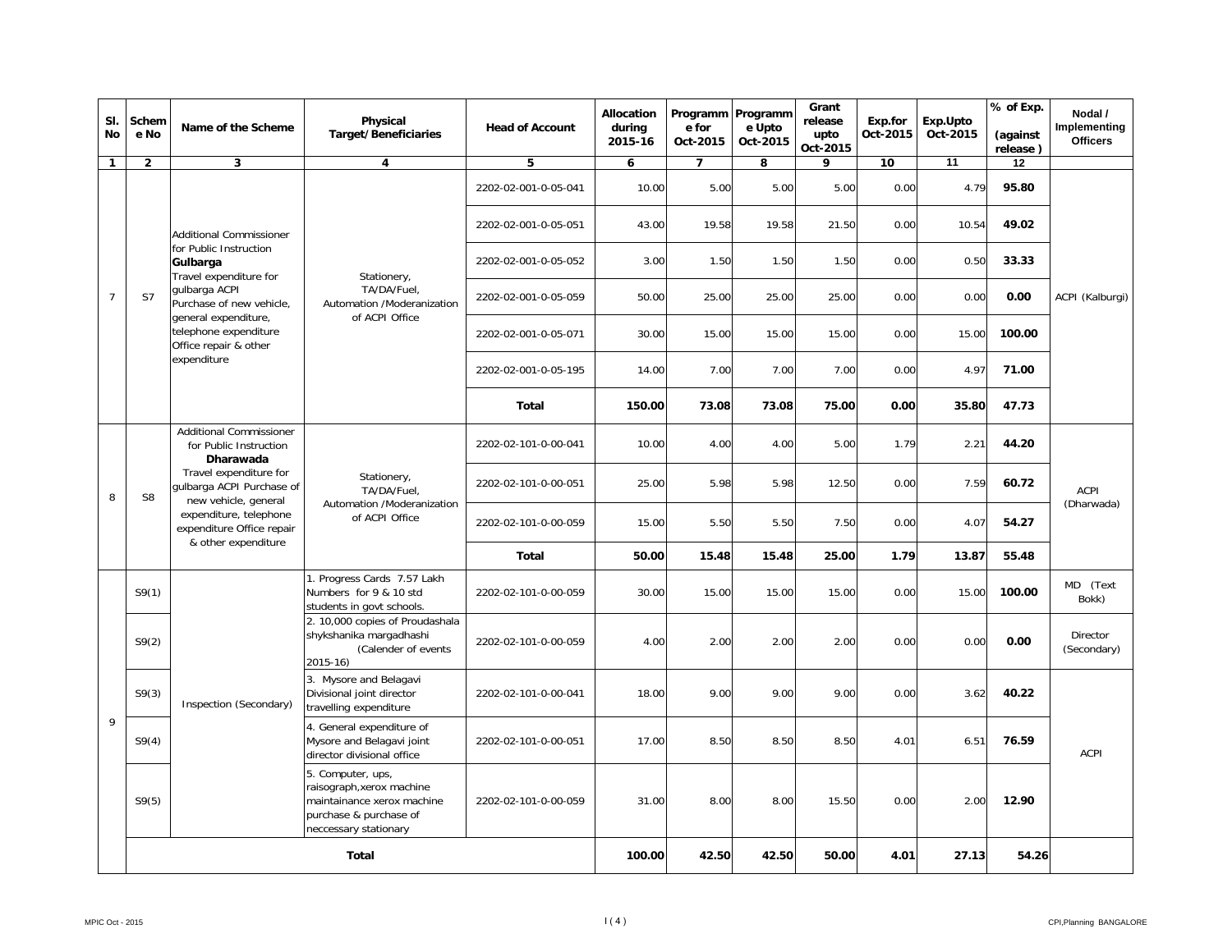| SI.<br><b>No</b> | Schem<br>e No  | Name of the Scheme                                                          | Physical<br><b>Target/Beneficiaries</b>                                                                                         | <b>Head of Account</b> | Allocation<br>during<br>2015-16 | Programm Programm<br>e for<br>Oct-2015 | e Upto<br>Oct-2015                    | Grant<br>release<br>upto<br>Oct-2015 | Exp.for<br>Oct-2015 | Exp.Upto<br>Oct-2015 | % of Exp.<br>(against<br>release) | Nodal /<br>Implementing<br><b>Officers</b> |
|------------------|----------------|-----------------------------------------------------------------------------|---------------------------------------------------------------------------------------------------------------------------------|------------------------|---------------------------------|----------------------------------------|---------------------------------------|--------------------------------------|---------------------|----------------------|-----------------------------------|--------------------------------------------|
| $\mathbf{1}$     | $\overline{2}$ | 3                                                                           | $\overline{4}$                                                                                                                  | 5                      | 6                               | $\overline{ }$                         | 8                                     | 9                                    | 10                  | $\overline{11}$      | $\overline{12}$                   |                                            |
|                  |                |                                                                             |                                                                                                                                 | 2202-02-001-0-05-041   | 10.00                           | 5.00                                   | 5.00                                  | 5.00                                 | 0.00                | 4.79                 | 95.80                             |                                            |
|                  |                | <b>Additional Commissioner</b>                                              |                                                                                                                                 | 2202-02-001-0-05-051   | 43.00                           | 19.58                                  | 19.58                                 | 21.50                                | 0.00                | 10.54                | 49.02                             |                                            |
|                  |                | for Public Instruction<br>Gulbarga<br>Travel expenditure for                | Stationery,                                                                                                                     | 2202-02-001-0-05-052   | 3.00                            | 1.50                                   | 1.50                                  | 1.50                                 | 0.00                | 0.50                 | 33.33                             |                                            |
| $\overline{7}$   | S7             | gulbarga ACPI<br>Purchase of new vehicle,<br>general expenditure,           | TA/DA/Fuel,<br>Automation /Moderanization                                                                                       | 2202-02-001-0-05-059   | 50.00                           | 25.00                                  | 25.00                                 | 25.00                                | 0.00                | 0.00                 | 0.00                              | ACPI (Kalburgi)                            |
|                  |                | telephone expenditure<br>Office repair & other                              | of ACPI Office                                                                                                                  | 2202-02-001-0-05-071   | 30.00                           | 15.00                                  | 15.00                                 | 15.00                                | 0.00                | 15.00                | 100.00                            |                                            |
|                  |                | expenditure                                                                 |                                                                                                                                 | 2202-02-001-0-05-195   | 14.00                           | 7.00                                   | 7.00                                  | 7.00                                 | 0.00                | 4.97                 | 71.00                             |                                            |
|                  |                |                                                                             |                                                                                                                                 | Total                  | 150.00                          | 73.08                                  | 73.08                                 | 75.00                                | 0.00                | 35.80                | 47.73                             |                                            |
|                  |                | <b>Additional Commissioner</b><br>for Public Instruction<br>Dharawada       |                                                                                                                                 | 2202-02-101-0-00-041   | 10.00                           | 4.00                                   | 4.00                                  | 5.00                                 | 1.79                | 2.21                 | 44.20                             | <b>ACPI</b><br>(Dharwada)                  |
| 8                | S <sub>8</sub> | Travel expenditure for<br>gulbarga ACPI Purchase of<br>new vehicle, general | Stationery,<br>TA/DA/Fuel.                                                                                                      | 2202-02-101-0-00-051   | 25.00                           |                                        | 5.98<br>5.98<br>12.50<br>0.00<br>7.59 | 60.72                                |                     |                      |                                   |                                            |
|                  |                | expenditure, telephone<br>expenditure Office repair                         | Automation /Moderanization<br>of ACPI Office                                                                                    | 2202-02-101-0-00-059   | 15.00                           | 5.50                                   | 5.50                                  | 7.50                                 | 0.00                | 4.07                 | 54.27                             |                                            |
|                  |                | & other expenditure                                                         |                                                                                                                                 | <b>Total</b>           | 50.00                           | 15.48                                  | 15.48                                 | 25.00                                | 1.79                | 13.87                | 55.48                             |                                            |
|                  | S9(1)          |                                                                             | 1. Progress Cards 7.57 Lakh<br>Numbers for 9 & 10 std<br>students in govt schools.                                              | 2202-02-101-0-00-059   | 30.00                           | 15.00                                  | 15.00                                 | 15.00                                | 0.00                | 15.00                | 100.00                            | MD (Text<br>Bokk)                          |
|                  | S9(2)          |                                                                             | 2. 10,000 copies of Proudashala<br>shykshanika margadhashi<br>(Calender of events<br>$2015 - 16$                                | 2202-02-101-0-00-059   | 4.00                            | 2.00                                   | 2.00                                  | 2.00                                 | 0.00                | 0.00                 | 0.00                              | Director<br>(Secondary)                    |
|                  | S9(3)          | Inspection (Secondary)                                                      | 3. Mysore and Belagavi<br>Divisional joint director<br>travelling expenditure                                                   | 2202-02-101-0-00-041   | 18.00                           | 9.00                                   | 9.00                                  | 9.00                                 | 0.00                | 3.62                 | 40.22                             |                                            |
| 9                | S9(4)          |                                                                             | 4. General expenditure of<br>Mysore and Belagavi joint<br>director divisional office                                            | 2202-02-101-0-00-051   | 17.00                           | 8.50                                   | 8.50                                  | 8.50                                 | 4.01                | 6.51                 | 76.59                             | <b>ACPI</b>                                |
|                  | S9(5)          |                                                                             | 5. Computer, ups,<br>raisograph, xerox machine<br>maintainance xerox machine<br>purchase & purchase of<br>neccessary stationary | 2202-02-101-0-00-059   | 31.00                           | 8.00                                   | 8.00                                  | 15.50                                | 0.00                | 2.00                 | 12.90                             |                                            |
|                  | <b>Total</b>   |                                                                             |                                                                                                                                 |                        |                                 | 100.00<br>42.50                        | 42.50                                 | 50.00                                | 4.01                | 27.13                | 54.26                             |                                            |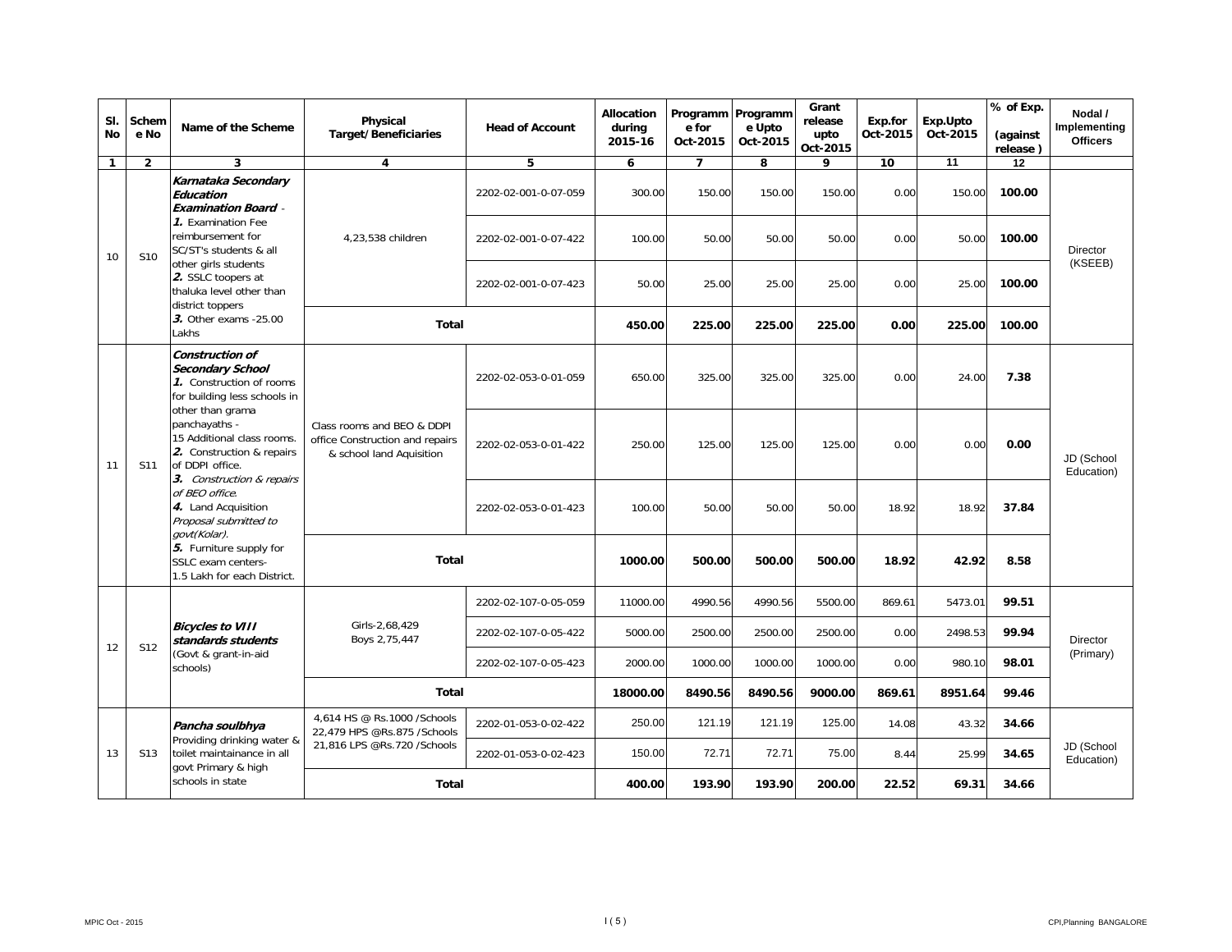| SI.<br><b>No</b> | Schem<br>e No    | Name of the Scheme                                                                                                                                                                                                                                                                         | Physical<br><b>Target/Beneficiaries</b>                                                   | <b>Head of Account</b> | Allocation<br>during<br>2015-16 | Programm Programm<br>e for<br>Oct-2015 | e Upto<br>Oct-2015 | Grant<br>release<br>upto<br>Oct-2015 | Exp.for<br>Oct-2015 | Exp.Upto<br>Oct-2015 | % of Exp.<br>(against<br>release) | Nodal /<br>Implementing<br><b>Officers</b> |
|------------------|------------------|--------------------------------------------------------------------------------------------------------------------------------------------------------------------------------------------------------------------------------------------------------------------------------------------|-------------------------------------------------------------------------------------------|------------------------|---------------------------------|----------------------------------------|--------------------|--------------------------------------|---------------------|----------------------|-----------------------------------|--------------------------------------------|
| $\mathbf{1}$     | $\overline{2}$   | 3                                                                                                                                                                                                                                                                                          | $\overline{\mathbf{4}}$                                                                   | 5                      | 6                               | $\overline{7}$                         | 8                  | 9                                    | 10                  | 11                   | 12                                |                                            |
|                  |                  | Karnataka Secondary<br>Education<br><b>Examination Board -</b>                                                                                                                                                                                                                             |                                                                                           | 2202-02-001-0-07-059   | 300.00                          | 150.00                                 | 150.00             | 150.00                               | 0.00                | 150.00               | 100.00                            |                                            |
| 10               | S <sub>10</sub>  | 7. Examination Fee<br>reimbursement for<br>SC/ST's students & all                                                                                                                                                                                                                          | 4,23,538 children                                                                         | 2202-02-001-0-07-422   | 100.00                          | 50.00                                  | 50.00              | 50.00                                | 0.00                | 50.00                | 100.00                            | <b>Director</b>                            |
|                  |                  | other girls students<br>2. SSLC toopers at<br>thaluka level other than<br>district toppers<br>3. Other exams - 25.00<br>Lakhs                                                                                                                                                              |                                                                                           | 2202-02-001-0-07-423   | 50.00                           | 25.00                                  | 25.00              | 25.00                                | 0.00                | 25.00                | 100.00                            | (KSEEB)                                    |
|                  |                  |                                                                                                                                                                                                                                                                                            | <b>Total</b>                                                                              |                        | 450.00                          | 225.00                                 | 225.00             | 225.00                               | 0.00                | 225.00               | 100.00                            |                                            |
|                  |                  | Construction of<br><b>Secondary School</b><br>1. Construction of rooms<br>for building less schools in<br>other than grama                                                                                                                                                                 |                                                                                           | 2202-02-053-0-01-059   | 650.00                          | 325.00                                 | 325.00             | 325.00<br>0.00<br>24.00              | 7.38                |                      |                                   |                                            |
| 11               | S11              | panchayaths -<br>15 Additional class rooms.<br>2. Construction & repairs<br>of DDPI office.<br>3. Construction & repairs<br>of BEO office.<br>4. Land Acquisition<br>Proposal submitted to<br>govt(Kolar).<br>5. Furniture supply for<br>SSLC exam centers-<br>1.5 Lakh for each District. | Class rooms and BEO & DDPI<br>office Construction and repairs<br>& school land Aquisition | 2202-02-053-0-01-422   | 250.00                          | 125.00                                 | 125.00             | 125.00                               | 0.00                | 0.00                 | 0.00                              | JD (School<br>Education)                   |
|                  |                  |                                                                                                                                                                                                                                                                                            |                                                                                           | 2202-02-053-0-01-423   | 100.00                          | 50.00                                  | 50.00              | 50.00                                | 18.92               | 18.92                | 37.84                             |                                            |
|                  |                  |                                                                                                                                                                                                                                                                                            | <b>Total</b>                                                                              |                        | 1000.00                         | 500.00                                 | 500.00             | 500.00                               | 18.92               | 42.92                | 8.58                              |                                            |
|                  |                  |                                                                                                                                                                                                                                                                                            |                                                                                           | 2202-02-107-0-05-059   | 11000.00                        | 4990.56                                | 4990.56            | 5500.00                              | 869.61              | 5473.01              | 99.51                             |                                            |
| 12               | S12              | <b>Bicycles to VIII</b><br>standards students                                                                                                                                                                                                                                              | Girls-2,68,429<br>Boys 2,75,447                                                           | 2202-02-107-0-05-422   | 5000.00                         | 2500.00                                | 2500.00            | 2500.00                              | 0.00                | 2498.53              | 99.94                             | <b>Director</b>                            |
|                  |                  | (Govt & grant-in-aid<br>schools)                                                                                                                                                                                                                                                           |                                                                                           | 2202-02-107-0-05-423   | 2000.00                         | 1000.00                                | 1000.00            | 1000.00                              | 0.00                | 980.10               | 98.01                             | (Primary)                                  |
|                  |                  |                                                                                                                                                                                                                                                                                            | <b>Total</b>                                                                              |                        | 18000.00                        | 8490.56                                | 8490.56            | 9000.00                              | 869.61              | 8951.64              | 99.46                             |                                            |
|                  |                  | Pancha soulbhya<br>Providing drinking water &                                                                                                                                                                                                                                              | 4,614 HS @ Rs.1000 / Schools<br>22,479 HPS @Rs.875 /Schools                               | 2202-01-053-0-02-422   | 250.00                          | 121.19                                 | 121.19             | 125.00                               | 14.08               | 43.32                | 34.66                             | JD (School<br>Education)                   |
| 13               | S13              | toilet maintainance in all<br>govt Primary & high                                                                                                                                                                                                                                          | 21,816 LPS @Rs.720 /Schools                                                               | 2202-01-053-0-02-423   | 150.00                          | 72.71                                  | 72.71              | 75.00                                | 8.44                | 25.99<br>34.65       |                                   |                                            |
|                  | schools in state |                                                                                                                                                                                                                                                                                            | <b>Total</b>                                                                              |                        | 400.00                          | 193.90                                 | 193.90             | 200.00                               | 22.52               | 69.31                | 34.66                             |                                            |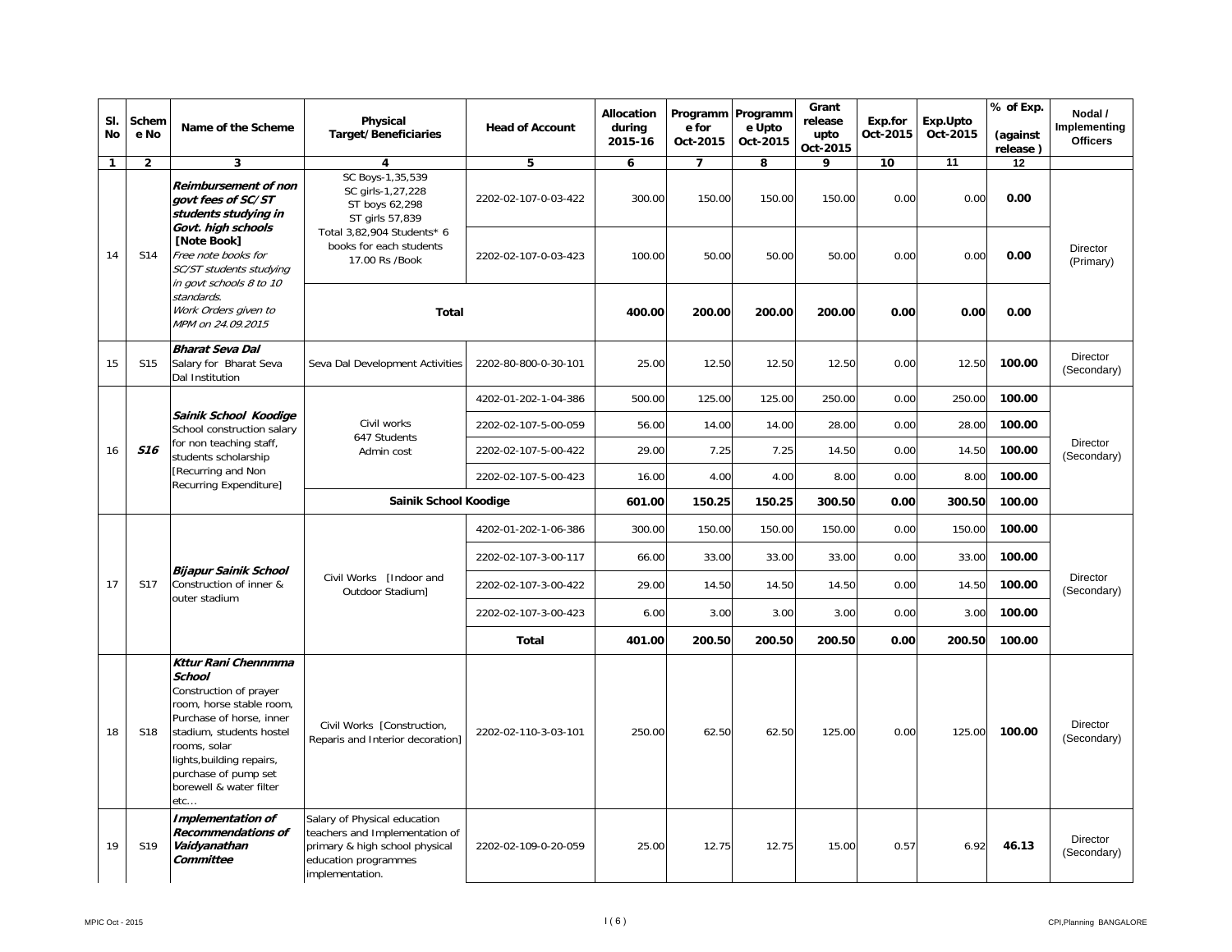| SI.<br>No    | Schem<br>e No   | Name of the Scheme                                                                                                                                                                                                                                               | Physical<br><b>Target/Beneficiaries</b>                                                                                                     | <b>Head of Account</b> | Allocation<br>during<br>2015-16 | Programm Programm<br>e for<br>Oct-2015 | e Upto<br>Oct-2015 | Grant<br>release<br>upto<br>Oct-2015 | Exp.for<br>Oct-2015 | Exp.Upto<br>Oct-2015 | % of Exp.<br>(against<br>release) | Nodal /<br>Implementing<br><b>Officers</b> |
|--------------|-----------------|------------------------------------------------------------------------------------------------------------------------------------------------------------------------------------------------------------------------------------------------------------------|---------------------------------------------------------------------------------------------------------------------------------------------|------------------------|---------------------------------|----------------------------------------|--------------------|--------------------------------------|---------------------|----------------------|-----------------------------------|--------------------------------------------|
| $\mathbf{1}$ | $\mathbf{2}$    | 3                                                                                                                                                                                                                                                                | 4                                                                                                                                           | 5                      | 6                               | $\overline{7}$                         | 8                  | 9                                    | 10                  | 11                   | 12                                |                                            |
|              |                 | <b>Reimbursement of non</b><br>govt fees of SC/ST<br>students studying in<br>Govt. high schools                                                                                                                                                                  | SC Boys-1,35,539<br>SC girls-1,27,228<br>ST boys 62,298<br>ST girls 57,839                                                                  | 2202-02-107-0-03-422   | 300.00                          | 150.00                                 | 150.00             | 150.00                               | 0.00                | 0.00                 | 0.00                              |                                            |
| 14           | S14             | [Note Book]<br>Free note books for<br>SC/ST students studying<br>in govt schools 8 to 10                                                                                                                                                                         | Total 3,82,904 Students* 6<br>books for each students<br>17.00 Rs /Book                                                                     | 2202-02-107-0-03-423   | 100.00                          | 50.00                                  | 50.00              | 50.00                                | 0.00                | 0.00                 | 0.00                              | <b>Director</b><br>(Primary)               |
|              |                 | standards.<br>Work Orders given to<br>MPM on 24.09.2015                                                                                                                                                                                                          | <b>Total</b>                                                                                                                                |                        | 400.00                          | 200.00                                 | 200.00             | 200.00                               | 0.00                | 0.00                 | 0.00                              |                                            |
| 15           | S <sub>15</sub> | <b>Bharat Seva Dal</b><br>Salary for Bharat Seva<br>Dal Institution                                                                                                                                                                                              | Seva Dal Development Activities                                                                                                             | 2202-80-800-0-30-101   | 25.00                           | 12.50                                  | 12.50              | 12.50                                | 0.00                | 12.50                | 100.00                            | Director<br>(Secondary)                    |
|              |                 |                                                                                                                                                                                                                                                                  |                                                                                                                                             | 4202-01-202-1-04-386   | 500.00                          | 125.00                                 | 125.00             | 250.00                               | 0.00                | 250.00               | 100.00                            |                                            |
|              |                 | Sainik School Koodige<br>School construction salary                                                                                                                                                                                                              | Civil works<br>647 Students                                                                                                                 | 2202-02-107-5-00-059   | 56.00                           | 14.00                                  | 14.00              | 28.00                                | 0.00                | 28.00                | 100.00                            |                                            |
| 16           | <b>S16</b>      | for non teaching staff,<br>students scholarship                                                                                                                                                                                                                  | Admin cost                                                                                                                                  | 2202-02-107-5-00-422   | 29.00                           | 7.25                                   | 7.25               | 14.50                                | 0.00                | 14.50                | 100.00                            | <b>Director</b><br>(Secondary)             |
|              |                 | [Recurring and Non<br>Recurring Expenditure]                                                                                                                                                                                                                     |                                                                                                                                             | 2202-02-107-5-00-423   | 16.00                           | 4.00                                   | 4.00               | 8.00                                 | 0.00                | 8.00                 | 100.00                            |                                            |
|              |                 |                                                                                                                                                                                                                                                                  | Sainik School Koodige                                                                                                                       |                        | 601.00                          | 150.25                                 | 150.25             | 300.50                               | 0.00                | 300.50               | 100.00                            |                                            |
|              |                 |                                                                                                                                                                                                                                                                  |                                                                                                                                             | 4202-01-202-1-06-386   | 300.00                          | 150.00                                 | 150.00             | 150.00                               | 0.00                | 150.00               | 100.00                            |                                            |
|              |                 |                                                                                                                                                                                                                                                                  |                                                                                                                                             | 2202-02-107-3-00-117   | 66.00                           | 33.00                                  | 33.00              | 33.00                                | 0.00                | 33.00                | 100.00                            |                                            |
| 17           | S17             | <b>Bijapur Sainik School</b><br>Construction of inner &<br>outer stadium                                                                                                                                                                                         | Civil Works [Indoor and<br>Outdoor Stadium]                                                                                                 | 2202-02-107-3-00-422   | 29.00                           | 14.50                                  | 14.50              | 14.50                                | 0.00                | 14.50                | 100.00                            | Director<br>(Secondary)                    |
|              |                 |                                                                                                                                                                                                                                                                  |                                                                                                                                             | 2202-02-107-3-00-423   | 6.00                            | 3.00                                   | 3.00               | 3.00                                 | 0.00                | 3.00                 | 100.00                            |                                            |
|              |                 |                                                                                                                                                                                                                                                                  |                                                                                                                                             | <b>Total</b>           | 401.00                          | 200.50                                 | 200.50             | 200.50                               | 0.00                | 200.50               | 100.00<br>100.00<br>46.13         |                                            |
| 18           | S18             | <b>Kttur Rani Chennmma</b><br><b>School</b><br>Construction of prayer<br>room, horse stable room,<br>Purchase of horse, inner<br>stadium, students hostel<br>rooms, solar<br>lights, building repairs,<br>purchase of pump set<br>borewell & water filter<br>etc | Civil Works [Construction,<br>Reparis and Interior decoration]                                                                              | 2202-02-110-3-03-101   | 250.00                          | 62.50                                  | 62.50              | 125.00                               | 0.00                | 125.00               |                                   | Director<br>(Secondary)                    |
| 19           | S <sub>19</sub> | Implementation of<br><b>Recommendations of</b><br>Vaidyanathan<br>Committee                                                                                                                                                                                      | Salary of Physical education<br>teachers and Implementation of<br>primary & high school physical<br>education programmes<br>implementation. | 2202-02-109-0-20-059   | 25.00                           | 12.75                                  | 12.75              | 15.00                                | 0.57                | 6.92                 |                                   | Director<br>(Secondary)                    |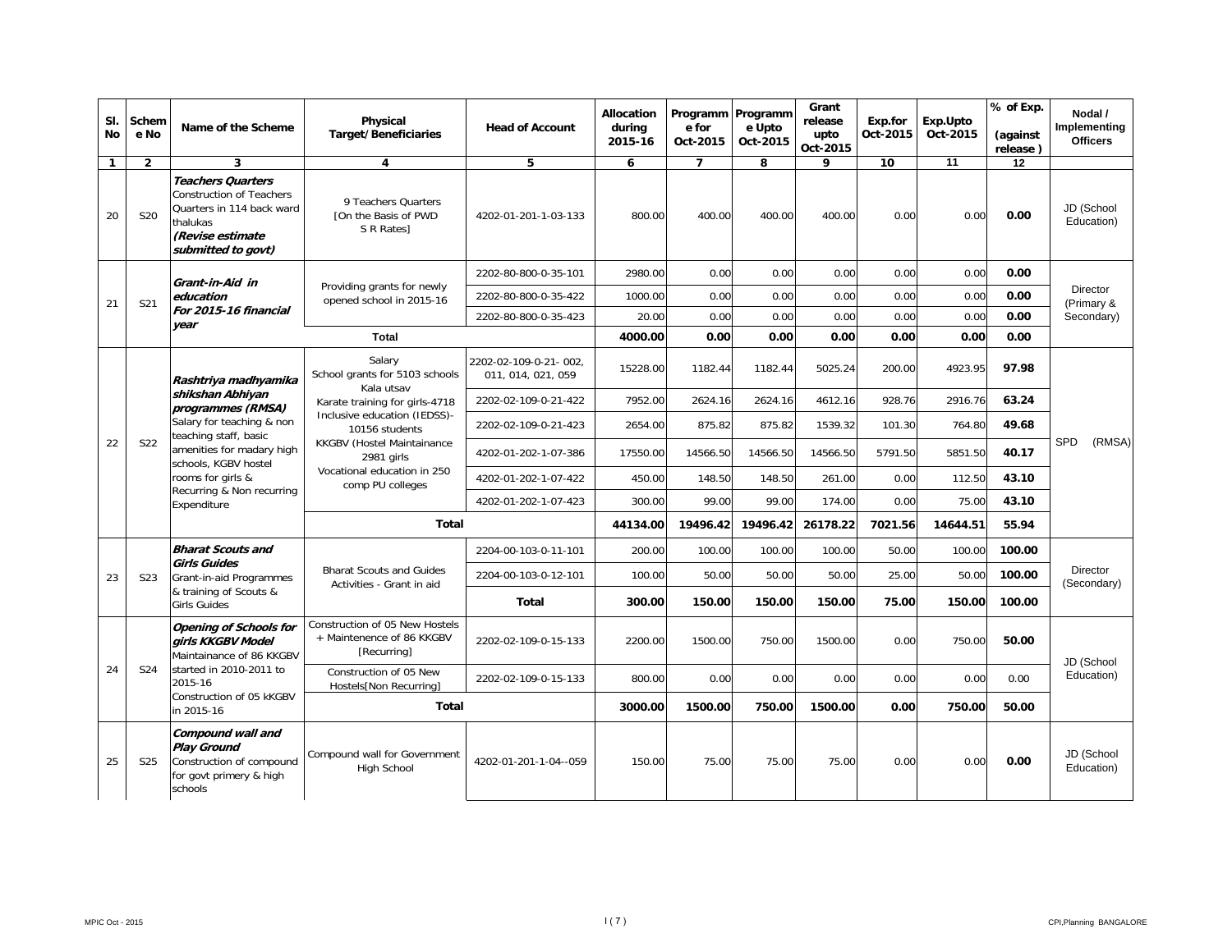| SI.<br><b>No</b> | Schem<br>e No   | Name of the Scheme                                                                                                                             | Physical<br><b>Target/Beneficiaries</b>                                                                                                                                                                                                                                                                                      | <b>Head of Account</b>                      | Allocation<br>during<br>2015-16 | Programm Programm<br>e for<br>Oct-2015 | e Upto<br>Oct-2015 | Grant<br>release<br>upto<br>Oct-2015 | Exp.for<br>Oct-2015 | Exp.Upto<br>Oct-2015 | % of Exp.<br>(against<br>release) | Nodal /<br>Implementing<br><b>Officers</b> |
|------------------|-----------------|------------------------------------------------------------------------------------------------------------------------------------------------|------------------------------------------------------------------------------------------------------------------------------------------------------------------------------------------------------------------------------------------------------------------------------------------------------------------------------|---------------------------------------------|---------------------------------|----------------------------------------|--------------------|--------------------------------------|---------------------|----------------------|-----------------------------------|--------------------------------------------|
| $\mathbf{1}$     | $\overline{2}$  | 3                                                                                                                                              | 4                                                                                                                                                                                                                                                                                                                            | 5                                           | 6                               | $\overline{7}$                         | 8                  | 9                                    | 10                  | 11                   | 12                                |                                            |
| 20               | S <sub>20</sub> | <b>Teachers Quarters</b><br><b>Construction of Teachers</b><br>Quarters in 114 back ward<br>thalukas<br>(Revise estimate<br>submitted to govt) | 9 Teachers Quarters<br>[On the Basis of PWD<br>S R Rates]                                                                                                                                                                                                                                                                    | 4202-01-201-1-03-133                        | 800.00                          | 400.00                                 | 400.00             | 400.00                               | 0.00                | 0.00                 | 0.00                              | JD (School<br>Education)                   |
|                  |                 | Grant-in-Aid in                                                                                                                                |                                                                                                                                                                                                                                                                                                                              | 2202-80-800-0-35-101                        | 2980.00                         | 0.00                                   | 0.00               | 0.00                                 | 0.00                | 0.00                 | 0.00                              |                                            |
| 21               | S21             | education<br>For 2015-16 financial<br>year                                                                                                     | Providing grants for newly<br>opened school in 2015-16                                                                                                                                                                                                                                                                       | 2202-80-800-0-35-422                        | 1000.00                         | 0.00                                   | 0.00               | 0.00                                 | 0.00                | 0.00                 | 0.00                              | <b>Director</b><br>(Primary &              |
|                  |                 |                                                                                                                                                |                                                                                                                                                                                                                                                                                                                              | 2202-80-800-0-35-423                        | 20.00                           | 0.00                                   | 0.00               | 0.00                                 | 0.00                | 0.00                 | 0.00                              | Secondary)                                 |
|                  |                 |                                                                                                                                                | Total                                                                                                                                                                                                                                                                                                                        |                                             |                                 | 0.00                                   | 0.00               | 0.00                                 | 0.00                | 0.00                 | 0.00                              |                                            |
|                  |                 | Rashtriya madhyamika                                                                                                                           | Salary<br>School grants for 5103 schools<br>Kala utsav                                                                                                                                                                                                                                                                       | 2202-02-109-0-21-002.<br>011, 014, 021, 059 | 15228.00                        | 1182.44                                | 1182.44            | 5025.24                              | 200.00              | 4923.95              | 97.98                             |                                            |
|                  |                 | shikshan Abhiyan<br>programmes (RMSA)                                                                                                          | Karate training for girls-4718                                                                                                                                                                                                                                                                                               | 2202-02-109-0-21-422                        | 7952.00                         | 2624.16                                | 2624.16            | 4612.16                              | 928.76              | 2916.76              | 63.24                             |                                            |
|                  |                 | Salary for teaching & non<br>teaching staff, basic                                                                                             | Inclusive education (IEDSS)-<br>10156 students                                                                                                                                                                                                                                                                               | 2202-02-109-0-21-423                        | 2654.00                         | 875.82                                 | 875.82             | 1539.32                              | 101.30              | 764.80               | 49.68                             |                                            |
| 22               | <b>S22</b>      | amenities for madary high<br>schools, KGBV hostel                                                                                              | KKGBV (Hostel Maintainance<br>4202-01-202-1-07-386<br>17550.00<br>14566.50<br>14566.50<br>14566.50<br>5791.50<br>2981 girls<br>Vocational education in 250<br>4202-01-202-1-07-422<br>450.00<br>148.50<br>148.50<br>261.00<br>0.00<br>comp PU colleges<br>99.00<br>99.00<br>174.00<br>0.00<br>4202-01-202-1-07-423<br>300.00 |                                             |                                 |                                        |                    |                                      |                     | 5851.50              | 40.17                             | SPD<br>(RMSA)                              |
|                  |                 | rooms for girls &                                                                                                                              |                                                                                                                                                                                                                                                                                                                              | 112.50                                      | 43.10                           |                                        |                    |                                      |                     |                      |                                   |                                            |
|                  |                 | Recurring & Non recurring<br>Expenditure                                                                                                       |                                                                                                                                                                                                                                                                                                                              |                                             |                                 |                                        |                    |                                      |                     | 75.00                | 43.10                             |                                            |
|                  |                 |                                                                                                                                                | <b>Total</b>                                                                                                                                                                                                                                                                                                                 |                                             | 44134.00                        | 19496.42                               | 19496.42           | 26178.22                             | 7021.56             | 14644.51             | 55.94                             |                                            |
|                  |                 | <b>Bharat Scouts and</b>                                                                                                                       |                                                                                                                                                                                                                                                                                                                              | 2204-00-103-0-11-101                        | 200.00                          | 100.00                                 | 100.00             | 100.00                               | 50.00               | 100.00               | 100.00                            |                                            |
| 23               | S <sub>23</sub> | <b>Girls Guides</b><br>Grant-in-aid Programmes                                                                                                 | <b>Bharat Scouts and Guides</b><br>Activities - Grant in aid                                                                                                                                                                                                                                                                 | 2204-00-103-0-12-101                        | 100.00                          | 50.00                                  | 50.00              | 50.00                                | 25.00               | 50.00                | 100.00                            | Director<br>(Secondary)                    |
|                  |                 | & training of Scouts &<br><b>Girls Guides</b>                                                                                                  |                                                                                                                                                                                                                                                                                                                              | <b>Total</b>                                | 300.00                          | 150.00                                 | 150.00             | 150.00                               | 75.00               | 150.00               | 100.00                            |                                            |
|                  |                 | <b>Opening of Schools for</b><br>girls KKGBV Model<br>Maintainance of 86 KKGBV                                                                 | Construction of 05 New Hostels<br>+ Maintenence of 86 KKGBV<br>[Recurring]                                                                                                                                                                                                                                                   | 2202-02-109-0-15-133                        | 2200.00                         | 1500.00                                | 750.00             | 1500.00                              | 0.00                | 750.00               | 50.00                             | JD (School                                 |
| 24               | S24             | started in 2010-2011 to<br>2015-16                                                                                                             | Construction of 05 New<br>Hostels[Non Recurring]                                                                                                                                                                                                                                                                             | 2202-02-109-0-15-133                        | 800.00                          | 0.00                                   | 0.00               | 0.00                                 | 0.00                | 0.00                 | 0.00                              | Education)                                 |
|                  |                 | Construction of 05 kKGBV<br>in 2015-16                                                                                                         | Total                                                                                                                                                                                                                                                                                                                        |                                             | 3000.00                         | 1500.00                                | 750.00             | 1500.00                              | 0.00                | 750.00               | 50.00                             |                                            |
| 25               | S <sub>25</sub> | Compound wall and<br><b>Play Ground</b><br>Construction of compound<br>for govt primery & high<br>schools                                      | Compound wall for Government<br>High School                                                                                                                                                                                                                                                                                  | 4202-01-201-1-04--059                       | 150.00                          | 75.00                                  | 75.00              | 75.00                                | 0.00                | 0.00                 | 0.00                              | JD (School<br>Education)                   |